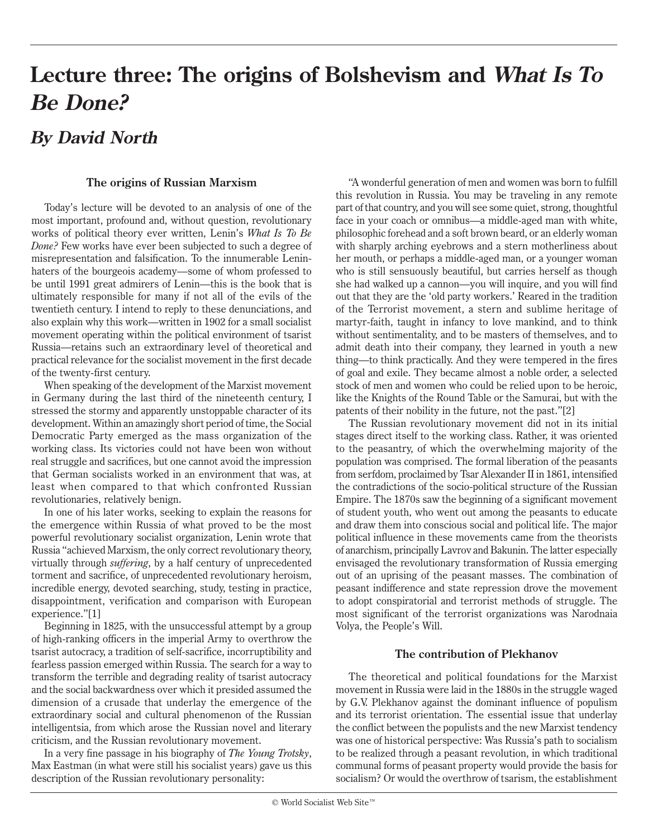# **Lecture three: The origins of Bolshevism and What Is To Be Done?**

# **By David North**

# **The origins of Russian Marxism**

Today's lecture will be devoted to an analysis of one of the most important, profound and, without question, revolutionary works of political theory ever written, Lenin's *What Is To Be Done?* Few works have ever been subjected to such a degree of misrepresentation and falsification. To the innumerable Leninhaters of the bourgeois academy—some of whom professed to be until 1991 great admirers of Lenin—this is the book that is ultimately responsible for many if not all of the evils of the twentieth century. I intend to reply to these denunciations, and also explain why this work—written in 1902 for a small socialist movement operating within the political environment of tsarist Russia—retains such an extraordinary level of theoretical and practical relevance for the socialist movement in the first decade of the twenty-first century.

When speaking of the development of the Marxist movement in Germany during the last third of the nineteenth century, I stressed the stormy and apparently unstoppable character of its development. Within an amazingly short period of time, the Social Democratic Party emerged as the mass organization of the working class. Its victories could not have been won without real struggle and sacrifices, but one cannot avoid the impression that German socialists worked in an environment that was, at least when compared to that which confronted Russian revolutionaries, relatively benign.

In one of his later works, seeking to explain the reasons for the emergence within Russia of what proved to be the most powerful revolutionary socialist organization, Lenin wrote that Russia "achieved Marxism, the only correct revolutionary theory, virtually through *suffering*, by a half century of unprecedented torment and sacrifice, of unprecedented revolutionary heroism, incredible energy, devoted searching, study, testing in practice, disappointment, verification and comparison with European experience."[1]

Beginning in 1825, with the unsuccessful attempt by a group of high-ranking officers in the imperial Army to overthrow the tsarist autocracy, a tradition of self-sacrifice, incorruptibility and fearless passion emerged within Russia. The search for a way to transform the terrible and degrading reality of tsarist autocracy and the social backwardness over which it presided assumed the dimension of a crusade that underlay the emergence of the extraordinary social and cultural phenomenon of the Russian intelligentsia, from which arose the Russian novel and literary criticism, and the Russian revolutionary movement.

In a very fine passage in his biography of *The Young Trotsky*, Max Eastman (in what were still his socialist years) gave us this description of the Russian revolutionary personality:

"A wonderful generation of men and women was born to fulfill this revolution in Russia. You may be traveling in any remote part of that country, and you will see some quiet, strong, thoughtful face in your coach or omnibus—a middle-aged man with white, philosophic forehead and a soft brown beard, or an elderly woman with sharply arching eyebrows and a stern motherliness about her mouth, or perhaps a middle-aged man, or a younger woman who is still sensuously beautiful, but carries herself as though she had walked up a cannon—you will inquire, and you will find out that they are the 'old party workers.' Reared in the tradition of the Terrorist movement, a stern and sublime heritage of martyr-faith, taught in infancy to love mankind, and to think without sentimentality, and to be masters of themselves, and to admit death into their company, they learned in youth a new thing—to think practically. And they were tempered in the fires of goal and exile. They became almost a noble order, a selected stock of men and women who could be relied upon to be heroic, like the Knights of the Round Table or the Samurai, but with the patents of their nobility in the future, not the past."[2]

The Russian revolutionary movement did not in its initial stages direct itself to the working class. Rather, it was oriented to the peasantry, of which the overwhelming majority of the population was comprised. The formal liberation of the peasants from serfdom, proclaimed by Tsar Alexander II in 1861, intensified the contradictions of the socio-political structure of the Russian Empire. The 1870s saw the beginning of a significant movement of student youth, who went out among the peasants to educate and draw them into conscious social and political life. The major political influence in these movements came from the theorists of anarchism, principally Lavrov and Bakunin. The latter especially envisaged the revolutionary transformation of Russia emerging out of an uprising of the peasant masses. The combination of peasant indifference and state repression drove the movement to adopt conspiratorial and terrorist methods of struggle. The most significant of the terrorist organizations was Narodnaia Volya, the People's Will.

# **The contribution of Plekhanov**

The theoretical and political foundations for the Marxist movement in Russia were laid in the 1880s in the struggle waged by G.V. Plekhanov against the dominant influence of populism and its terrorist orientation. The essential issue that underlay the conflict between the populists and the new Marxist tendency was one of historical perspective: Was Russia's path to socialism to be realized through a peasant revolution, in which traditional communal forms of peasant property would provide the basis for socialism? Or would the overthrow of tsarism, the establishment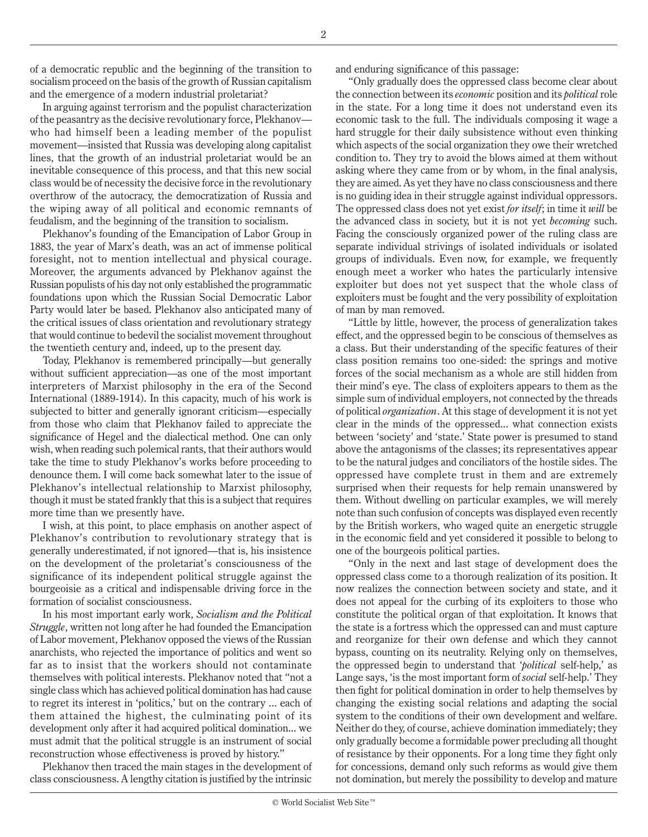of a democratic republic and the beginning of the transition to socialism proceed on the basis of the growth of Russian capitalism and the emergence of a modern industrial proletariat?

In arguing against terrorism and the populist characterization of the peasantry as the decisive revolutionary force, Plekhanov who had himself been a leading member of the populist movement—insisted that Russia was developing along capitalist lines, that the growth of an industrial proletariat would be an inevitable consequence of this process, and that this new social class would be of necessity the decisive force in the revolutionary overthrow of the autocracy, the democratization of Russia and the wiping away of all political and economic remnants of feudalism, and the beginning of the transition to socialism.

Plekhanov's founding of the Emancipation of Labor Group in 1883, the year of Marx's death, was an act of immense political foresight, not to mention intellectual and physical courage. Moreover, the arguments advanced by Plekhanov against the Russian populists of his day not only established the programmatic foundations upon which the Russian Social Democratic Labor Party would later be based. Plekhanov also anticipated many of the critical issues of class orientation and revolutionary strategy that would continue to bedevil the socialist movement throughout the twentieth century and, indeed, up to the present day.

Today, Plekhanov is remembered principally—but generally without sufficient appreciation—as one of the most important interpreters of Marxist philosophy in the era of the Second International (1889-1914). In this capacity, much of his work is subjected to bitter and generally ignorant criticism—especially from those who claim that Plekhanov failed to appreciate the significance of Hegel and the dialectical method. One can only wish, when reading such polemical rants, that their authors would take the time to study Plekhanov's works before proceeding to denounce them. I will come back somewhat later to the issue of Plekhanov's intellectual relationship to Marxist philosophy, though it must be stated frankly that this is a subject that requires more time than we presently have.

I wish, at this point, to place emphasis on another aspect of Plekhanov's contribution to revolutionary strategy that is generally underestimated, if not ignored—that is, his insistence on the development of the proletariat's consciousness of the significance of its independent political struggle against the bourgeoisie as a critical and indispensable driving force in the formation of socialist consciousness.

In his most important early work, *Socialism and the Political Struggle*, written not long after he had founded the Emancipation of Labor movement, Plekhanov opposed the views of the Russian anarchists, who rejected the importance of politics and went so far as to insist that the workers should not contaminate themselves with political interests. Plekhanov noted that "not a single class which has achieved political domination has had cause to regret its interest in 'politics,' but on the contrary ... each of them attained the highest, the culminating point of its development only after it had acquired political domination... we must admit that the political struggle is an instrument of social reconstruction whose effectiveness is proved by history."

Plekhanov then traced the main stages in the development of class consciousness. A lengthy citation is justified by the intrinsic

and enduring significance of this passage:

"Only gradually does the oppressed class become clear about the connection between its *economic* position and its *political* role in the state. For a long time it does not understand even its economic task to the full. The individuals composing it wage a hard struggle for their daily subsistence without even thinking which aspects of the social organization they owe their wretched condition to. They try to avoid the blows aimed at them without asking where they came from or by whom, in the final analysis, they are aimed. As yet they have no class consciousness and there is no guiding idea in their struggle against individual oppressors. The oppressed class does not yet exist *for itself*; in time it *will* be the advanced class in society, but it is not yet *becoming* such. Facing the consciously organized power of the ruling class are separate individual strivings of isolated individuals or isolated groups of individuals. Even now, for example, we frequently enough meet a worker who hates the particularly intensive exploiter but does not yet suspect that the whole class of exploiters must be fought and the very possibility of exploitation of man by man removed.

"Little by little, however, the process of generalization takes effect, and the oppressed begin to be conscious of themselves as a class. But their understanding of the specific features of their class position remains too one-sided: the springs and motive forces of the social mechanism as a whole are still hidden from their mind's eye. The class of exploiters appears to them as the simple sum of individual employers, not connected by the threads of political *organization*. At this stage of development it is not yet clear in the minds of the oppressed... what connection exists between 'society' and 'state.' State power is presumed to stand above the antagonisms of the classes; its representatives appear to be the natural judges and conciliators of the hostile sides. The oppressed have complete trust in them and are extremely surprised when their requests for help remain unanswered by them. Without dwelling on particular examples, we will merely note than such confusion of concepts was displayed even recently by the British workers, who waged quite an energetic struggle in the economic field and yet considered it possible to belong to one of the bourgeois political parties.

"Only in the next and last stage of development does the oppressed class come to a thorough realization of its position. It now realizes the connection between society and state, and it does not appeal for the curbing of its exploiters to those who constitute the political organ of that exploitation. It knows that the state is a fortress which the oppressed can and must capture and reorganize for their own defense and which they cannot bypass, counting on its neutrality. Relying only on themselves, the oppressed begin to understand that '*political* self-help,' as Lange says, 'is the most important form of *social* self-help.' They then fight for political domination in order to help themselves by changing the existing social relations and adapting the social system to the conditions of their own development and welfare. Neither do they, of course, achieve domination immediately; they only gradually become a formidable power precluding all thought of resistance by their opponents. For a long time they fight only for concessions, demand only such reforms as would give them not domination, but merely the possibility to develop and mature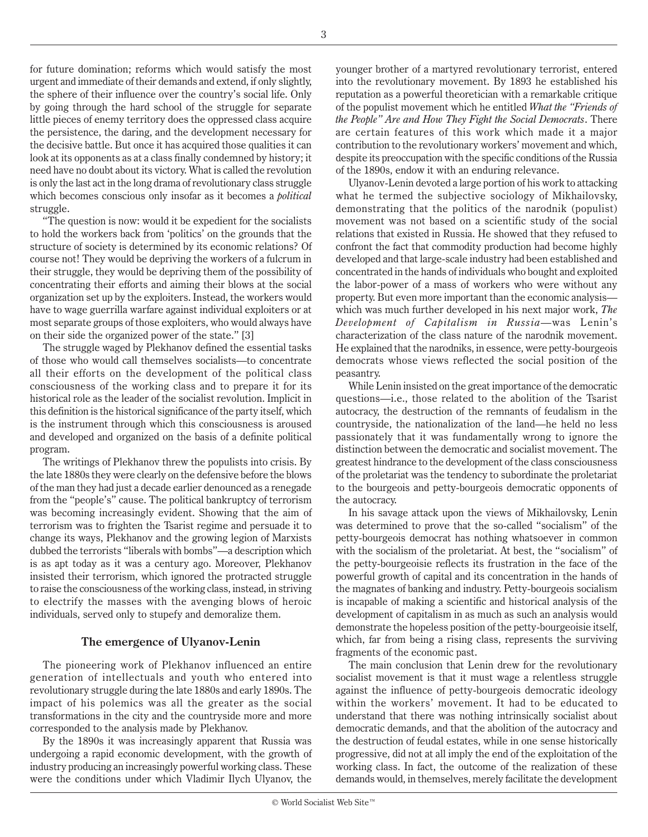for future domination; reforms which would satisfy the most urgent and immediate of their demands and extend, if only slightly, the sphere of their influence over the country's social life. Only by going through the hard school of the struggle for separate little pieces of enemy territory does the oppressed class acquire the persistence, the daring, and the development necessary for the decisive battle. But once it has acquired those qualities it can look at its opponents as at a class finally condemned by history; it need have no doubt about its victory. What is called the revolution is only the last act in the long drama of revolutionary class struggle which becomes conscious only insofar as it becomes a *political* struggle.

"The question is now: would it be expedient for the socialists to hold the workers back from 'politics' on the grounds that the structure of society is determined by its economic relations? Of course not! They would be depriving the workers of a fulcrum in their struggle, they would be depriving them of the possibility of concentrating their efforts and aiming their blows at the social organization set up by the exploiters. Instead, the workers would have to wage guerrilla warfare against individual exploiters or at most separate groups of those exploiters, who would always have on their side the organized power of the state." [3]

The struggle waged by Plekhanov defined the essential tasks of those who would call themselves socialists—to concentrate all their efforts on the development of the political class consciousness of the working class and to prepare it for its historical role as the leader of the socialist revolution. Implicit in this definition is the historical significance of the party itself, which is the instrument through which this consciousness is aroused and developed and organized on the basis of a definite political program.

The writings of Plekhanov threw the populists into crisis. By the late 1880s they were clearly on the defensive before the blows of the man they had just a decade earlier denounced as a renegade from the "people's" cause. The political bankruptcy of terrorism was becoming increasingly evident. Showing that the aim of terrorism was to frighten the Tsarist regime and persuade it to change its ways, Plekhanov and the growing legion of Marxists dubbed the terrorists "liberals with bombs"—a description which is as apt today as it was a century ago. Moreover, Plekhanov insisted their terrorism, which ignored the protracted struggle to raise the consciousness of the working class, instead, in striving to electrify the masses with the avenging blows of heroic individuals, served only to stupefy and demoralize them.

#### **The emergence of Ulyanov-Lenin**

The pioneering work of Plekhanov influenced an entire generation of intellectuals and youth who entered into revolutionary struggle during the late 1880s and early 1890s. The impact of his polemics was all the greater as the social transformations in the city and the countryside more and more corresponded to the analysis made by Plekhanov.

By the 1890s it was increasingly apparent that Russia was undergoing a rapid economic development, with the growth of industry producing an increasingly powerful working class. These were the conditions under which Vladimir Ilych Ulyanov, the

younger brother of a martyred revolutionary terrorist, entered into the revolutionary movement. By 1893 he established his reputation as a powerful theoretician with a remarkable critique of the populist movement which he entitled *What the "Friends of the People" Are and How They Fight the Social Democrats*. There are certain features of this work which made it a major contribution to the revolutionary workers' movement and which, despite its preoccupation with the specific conditions of the Russia of the 1890s, endow it with an enduring relevance.

Ulyanov-Lenin devoted a large portion of his work to attacking what he termed the subjective sociology of Mikhailovsky, demonstrating that the politics of the narodnik (populist) movement was not based on a scientific study of the social relations that existed in Russia. He showed that they refused to confront the fact that commodity production had become highly developed and that large-scale industry had been established and concentrated in the hands of individuals who bought and exploited the labor-power of a mass of workers who were without any property. But even more important than the economic analysis which was much further developed in his next major work, *The Development of Capitalism in Russia*—was Lenin's characterization of the class nature of the narodnik movement. He explained that the narodniks, in essence, were petty-bourgeois democrats whose views reflected the social position of the peasantry.

While Lenin insisted on the great importance of the democratic questions—i.e., those related to the abolition of the Tsarist autocracy, the destruction of the remnants of feudalism in the countryside, the nationalization of the land—he held no less passionately that it was fundamentally wrong to ignore the distinction between the democratic and socialist movement. The greatest hindrance to the development of the class consciousness of the proletariat was the tendency to subordinate the proletariat to the bourgeois and petty-bourgeois democratic opponents of the autocracy.

In his savage attack upon the views of Mikhailovsky, Lenin was determined to prove that the so-called "socialism" of the petty-bourgeois democrat has nothing whatsoever in common with the socialism of the proletariat. At best, the "socialism" of the petty-bourgeoisie reflects its frustration in the face of the powerful growth of capital and its concentration in the hands of the magnates of banking and industry. Petty-bourgeois socialism is incapable of making a scientific and historical analysis of the development of capitalism in as much as such an analysis would demonstrate the hopeless position of the petty-bourgeoisie itself, which, far from being a rising class, represents the surviving fragments of the economic past.

The main conclusion that Lenin drew for the revolutionary socialist movement is that it must wage a relentless struggle against the influence of petty-bourgeois democratic ideology within the workers' movement. It had to be educated to understand that there was nothing intrinsically socialist about democratic demands, and that the abolition of the autocracy and the destruction of feudal estates, while in one sense historically progressive, did not at all imply the end of the exploitation of the working class. In fact, the outcome of the realization of these demands would, in themselves, merely facilitate the development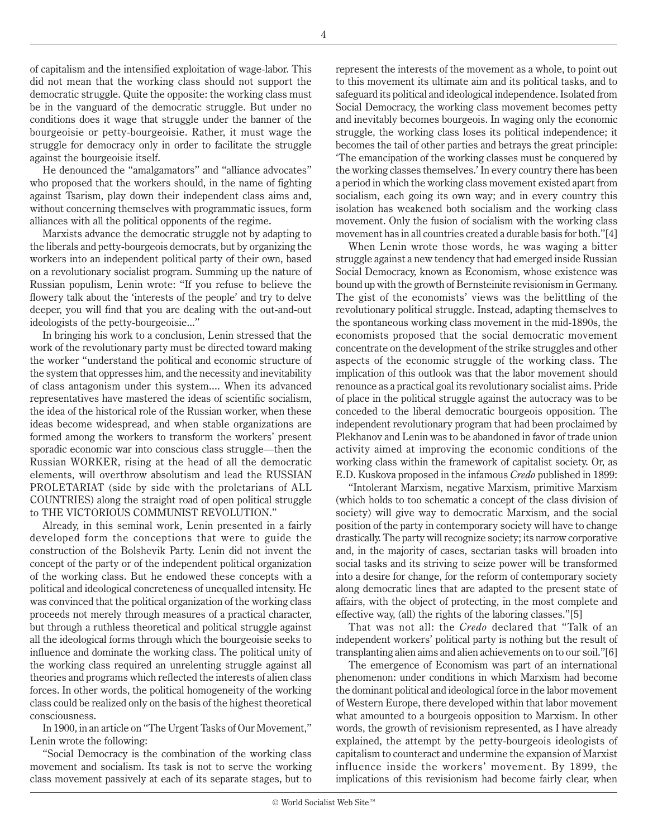of capitalism and the intensified exploitation of wage-labor. This did not mean that the working class should not support the democratic struggle. Quite the opposite: the working class must be in the vanguard of the democratic struggle. But under no conditions does it wage that struggle under the banner of the bourgeoisie or petty-bourgeoisie. Rather, it must wage the struggle for democracy only in order to facilitate the struggle against the bourgeoisie itself.

He denounced the "amalgamators" and "alliance advocates" who proposed that the workers should, in the name of fighting against Tsarism, play down their independent class aims and, without concerning themselves with programmatic issues, form alliances with all the political opponents of the regime.

Marxists advance the democratic struggle not by adapting to the liberals and petty-bourgeois democrats, but by organizing the workers into an independent political party of their own, based on a revolutionary socialist program. Summing up the nature of Russian populism, Lenin wrote: "If you refuse to believe the flowery talk about the 'interests of the people' and try to delve deeper, you will find that you are dealing with the out-and-out ideologists of the petty-bourgeoisie..."

In bringing his work to a conclusion, Lenin stressed that the work of the revolutionary party must be directed toward making the worker "understand the political and economic structure of the system that oppresses him, and the necessity and inevitability of class antagonism under this system.... When its advanced representatives have mastered the ideas of scientific socialism, the idea of the historical role of the Russian worker, when these ideas become widespread, and when stable organizations are formed among the workers to transform the workers' present sporadic economic war into conscious class struggle—then the Russian WORKER, rising at the head of all the democratic elements, will overthrow absolutism and lead the RUSSIAN PROLETARIAT (side by side with the proletarians of ALL COUNTRIES) along the straight road of open political struggle to THE VICTORIOUS COMMUNIST REVOLUTION."

Already, in this seminal work, Lenin presented in a fairly developed form the conceptions that were to guide the construction of the Bolshevik Party. Lenin did not invent the concept of the party or of the independent political organization of the working class. But he endowed these concepts with a political and ideological concreteness of unequalled intensity. He was convinced that the political organization of the working class proceeds not merely through measures of a practical character, but through a ruthless theoretical and political struggle against all the ideological forms through which the bourgeoisie seeks to influence and dominate the working class. The political unity of the working class required an unrelenting struggle against all theories and programs which reflected the interests of alien class forces. In other words, the political homogeneity of the working class could be realized only on the basis of the highest theoretical consciousness.

In 1900, in an article on "The Urgent Tasks of Our Movement," Lenin wrote the following:

"Social Democracy is the combination of the working class movement and socialism. Its task is not to serve the working class movement passively at each of its separate stages, but to

represent the interests of the movement as a whole, to point out to this movement its ultimate aim and its political tasks, and to safeguard its political and ideological independence. Isolated from Social Democracy, the working class movement becomes petty and inevitably becomes bourgeois. In waging only the economic struggle, the working class loses its political independence; it becomes the tail of other parties and betrays the great principle: 'The emancipation of the working classes must be conquered by the working classes themselves.' In every country there has been a period in which the working class movement existed apart from socialism, each going its own way; and in every country this isolation has weakened both socialism and the working class movement. Only the fusion of socialism with the working class movement has in all countries created a durable basis for both."[4]

When Lenin wrote those words, he was waging a bitter struggle against a new tendency that had emerged inside Russian Social Democracy, known as Economism, whose existence was bound up with the growth of Bernsteinite revisionism in Germany. The gist of the economists' views was the belittling of the revolutionary political struggle. Instead, adapting themselves to the spontaneous working class movement in the mid-1890s, the economists proposed that the social democratic movement concentrate on the development of the strike struggles and other aspects of the economic struggle of the working class. The implication of this outlook was that the labor movement should renounce as a practical goal its revolutionary socialist aims. Pride of place in the political struggle against the autocracy was to be conceded to the liberal democratic bourgeois opposition. The independent revolutionary program that had been proclaimed by Plekhanov and Lenin was to be abandoned in favor of trade union activity aimed at improving the economic conditions of the working class within the framework of capitalist society. Or, as E.D. Kuskova proposed in the infamous *Credo* published in 1899:

"Intolerant Marxism, negative Marxism, primitive Marxism (which holds to too schematic a concept of the class division of society) will give way to democratic Marxism, and the social position of the party in contemporary society will have to change drastically. The party will recognize society; its narrow corporative and, in the majority of cases, sectarian tasks will broaden into social tasks and its striving to seize power will be transformed into a desire for change, for the reform of contemporary society along democratic lines that are adapted to the present state of affairs, with the object of protecting, in the most complete and effective way, (all) the rights of the laboring classes."[5]

That was not all: the *Credo* declared that "Talk of an independent workers' political party is nothing but the result of transplanting alien aims and alien achievements on to our soil."[6]

The emergence of Economism was part of an international phenomenon: under conditions in which Marxism had become the dominant political and ideological force in the labor movement of Western Europe, there developed within that labor movement what amounted to a bourgeois opposition to Marxism. In other words, the growth of revisionism represented, as I have already explained, the attempt by the petty-bourgeois ideologists of capitalism to counteract and undermine the expansion of Marxist influence inside the workers' movement. By 1899, the implications of this revisionism had become fairly clear, when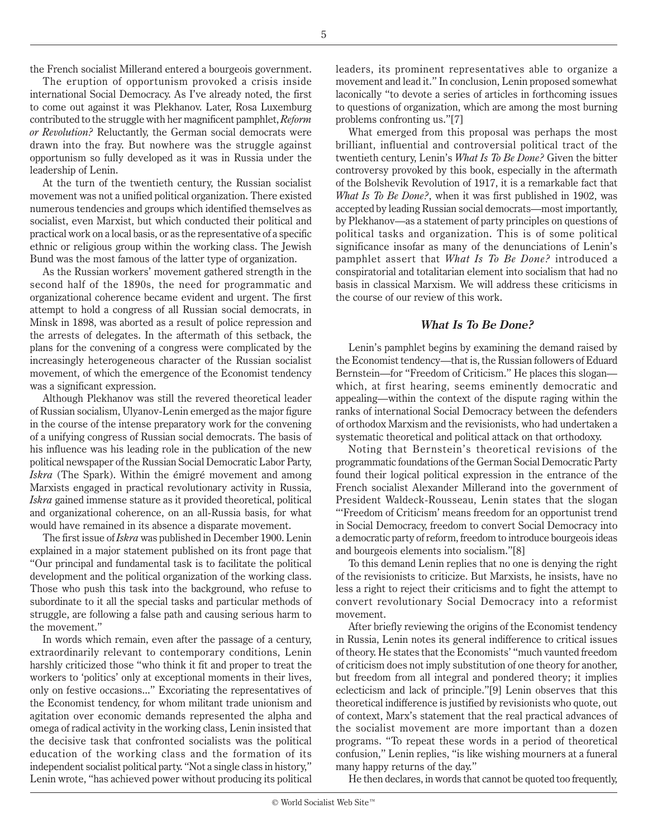the French socialist Millerand entered a bourgeois government.

The eruption of opportunism provoked a crisis inside international Social Democracy. As I've already noted, the first to come out against it was Plekhanov. Later, Rosa Luxemburg contributed to the struggle with her magnificent pamphlet, *Reform or Revolution?* Reluctantly, the German social democrats were drawn into the fray. But nowhere was the struggle against opportunism so fully developed as it was in Russia under the leadership of Lenin.

At the turn of the twentieth century, the Russian socialist movement was not a unified political organization. There existed numerous tendencies and groups which identified themselves as socialist, even Marxist, but which conducted their political and practical work on a local basis, or as the representative of a specific ethnic or religious group within the working class. The Jewish Bund was the most famous of the latter type of organization.

As the Russian workers' movement gathered strength in the second half of the 1890s, the need for programmatic and organizational coherence became evident and urgent. The first attempt to hold a congress of all Russian social democrats, in Minsk in 1898, was aborted as a result of police repression and the arrests of delegates. In the aftermath of this setback, the plans for the convening of a congress were complicated by the increasingly heterogeneous character of the Russian socialist movement, of which the emergence of the Economist tendency was a significant expression.

Although Plekhanov was still the revered theoretical leader of Russian socialism, Ulyanov-Lenin emerged as the major figure in the course of the intense preparatory work for the convening of a unifying congress of Russian social democrats. The basis of his influence was his leading role in the publication of the new political newspaper of the Russian Social Democratic Labor Party, *Iskra* (The Spark). Within the émigré movement and among Marxists engaged in practical revolutionary activity in Russia, *Iskra* gained immense stature as it provided theoretical, political and organizational coherence, on an all-Russia basis, for what would have remained in its absence a disparate movement.

The first issue of *Iskra* was published in December 1900. Lenin explained in a major statement published on its front page that "Our principal and fundamental task is to facilitate the political development and the political organization of the working class. Those who push this task into the background, who refuse to subordinate to it all the special tasks and particular methods of struggle, are following a false path and causing serious harm to the movement."

In words which remain, even after the passage of a century, extraordinarily relevant to contemporary conditions, Lenin harshly criticized those "who think it fit and proper to treat the workers to 'politics' only at exceptional moments in their lives, only on festive occasions..." Excoriating the representatives of the Economist tendency, for whom militant trade unionism and agitation over economic demands represented the alpha and omega of radical activity in the working class, Lenin insisted that the decisive task that confronted socialists was the political education of the working class and the formation of its independent socialist political party. "Not a single class in history," Lenin wrote, "has achieved power without producing its political leaders, its prominent representatives able to organize a movement and lead it." In conclusion, Lenin proposed somewhat laconically "to devote a series of articles in forthcoming issues to questions of organization, which are among the most burning problems confronting us."[7]

What emerged from this proposal was perhaps the most brilliant, influential and controversial political tract of the twentieth century, Lenin's *What Is To Be Done?* Given the bitter controversy provoked by this book, especially in the aftermath of the Bolshevik Revolution of 1917, it is a remarkable fact that *What Is To Be Done?*, when it was first published in 1902, was accepted by leading Russian social democrats—most importantly, by Plekhanov—as a statement of party principles on questions of political tasks and organization. This is of some political significance insofar as many of the denunciations of Lenin's pamphlet assert that *What Is To Be Done?* introduced a conspiratorial and totalitarian element into socialism that had no basis in classical Marxism. We will address these criticisms in the course of our review of this work.

## **What Is To Be Done?**

Lenin's pamphlet begins by examining the demand raised by the Economist tendency—that is, the Russian followers of Eduard Bernstein—for "Freedom of Criticism." He places this slogan which, at first hearing, seems eminently democratic and appealing—within the context of the dispute raging within the ranks of international Social Democracy between the defenders of orthodox Marxism and the revisionists, who had undertaken a systematic theoretical and political attack on that orthodoxy.

Noting that Bernstein's theoretical revisions of the programmatic foundations of the German Social Democratic Party found their logical political expression in the entrance of the French socialist Alexander Millerand into the government of President Waldeck-Rousseau, Lenin states that the slogan "'Freedom of Criticism' means freedom for an opportunist trend in Social Democracy, freedom to convert Social Democracy into a democratic party of reform, freedom to introduce bourgeois ideas and bourgeois elements into socialism."[8]

To this demand Lenin replies that no one is denying the right of the revisionists to criticize. But Marxists, he insists, have no less a right to reject their criticisms and to fight the attempt to convert revolutionary Social Democracy into a reformist movement.

After briefly reviewing the origins of the Economist tendency in Russia, Lenin notes its general indifference to critical issues of theory. He states that the Economists' "much vaunted freedom of criticism does not imply substitution of one theory for another, but freedom from all integral and pondered theory; it implies eclecticism and lack of principle."[9] Lenin observes that this theoretical indifference is justified by revisionists who quote, out of context, Marx's statement that the real practical advances of the socialist movement are more important than a dozen programs. "To repeat these words in a period of theoretical confusion," Lenin replies, "is like wishing mourners at a funeral many happy returns of the day."

He then declares, in words that cannot be quoted too frequently,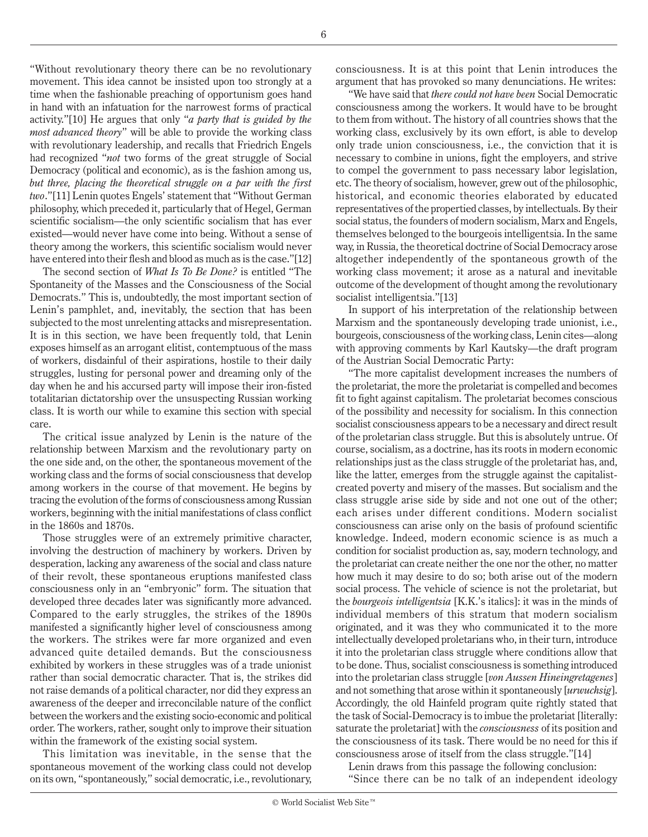"Without revolutionary theory there can be no revolutionary movement. This idea cannot be insisted upon too strongly at a time when the fashionable preaching of opportunism goes hand in hand with an infatuation for the narrowest forms of practical activity."[10] He argues that only "*a party that is guided by the most advanced theory*" will be able to provide the working class with revolutionary leadership, and recalls that Friedrich Engels had recognized "*not* two forms of the great struggle of Social Democracy (political and economic), as is the fashion among us, *but three, placing the theoretical struggle on a par with the first two*."[11] Lenin quotes Engels' statement that "Without German philosophy, which preceded it, particularly that of Hegel, German scientific socialism—the only scientific socialism that has ever existed—would never have come into being. Without a sense of theory among the workers, this scientific socialism would never have entered into their flesh and blood as much as is the case."[12]

The second section of *What Is To Be Done?* is entitled "The Spontaneity of the Masses and the Consciousness of the Social Democrats." This is, undoubtedly, the most important section of Lenin's pamphlet, and, inevitably, the section that has been subjected to the most unrelenting attacks and misrepresentation. It is in this section, we have been frequently told, that Lenin exposes himself as an arrogant elitist, contemptuous of the mass of workers, disdainful of their aspirations, hostile to their daily struggles, lusting for personal power and dreaming only of the day when he and his accursed party will impose their iron-fisted totalitarian dictatorship over the unsuspecting Russian working class. It is worth our while to examine this section with special care.

The critical issue analyzed by Lenin is the nature of the relationship between Marxism and the revolutionary party on the one side and, on the other, the spontaneous movement of the working class and the forms of social consciousness that develop among workers in the course of that movement. He begins by tracing the evolution of the forms of consciousness among Russian workers, beginning with the initial manifestations of class conflict in the 1860s and 1870s.

Those struggles were of an extremely primitive character, involving the destruction of machinery by workers. Driven by desperation, lacking any awareness of the social and class nature of their revolt, these spontaneous eruptions manifested class consciousness only in an "embryonic" form. The situation that developed three decades later was significantly more advanced. Compared to the early struggles, the strikes of the 1890s manifested a significantly higher level of consciousness among the workers. The strikes were far more organized and even advanced quite detailed demands. But the consciousness exhibited by workers in these struggles was of a trade unionist rather than social democratic character. That is, the strikes did not raise demands of a political character, nor did they express an awareness of the deeper and irreconcilable nature of the conflict between the workers and the existing socio-economic and political order. The workers, rather, sought only to improve their situation within the framework of the existing social system.

This limitation was inevitable, in the sense that the spontaneous movement of the working class could not develop on its own, "spontaneously," social democratic, i.e., revolutionary,

consciousness. It is at this point that Lenin introduces the argument that has provoked so many denunciations. He writes:

"We have said that *there could not have been* Social Democratic consciousness among the workers. It would have to be brought to them from without. The history of all countries shows that the working class, exclusively by its own effort, is able to develop only trade union consciousness, i.e., the conviction that it is necessary to combine in unions, fight the employers, and strive to compel the government to pass necessary labor legislation, etc. The theory of socialism, however, grew out of the philosophic, historical, and economic theories elaborated by educated representatives of the propertied classes, by intellectuals. By their social status, the founders of modern socialism, Marx and Engels, themselves belonged to the bourgeois intelligentsia. In the same way, in Russia, the theoretical doctrine of Social Democracy arose altogether independently of the spontaneous growth of the working class movement; it arose as a natural and inevitable outcome of the development of thought among the revolutionary socialist intelligentsia."[13]

In support of his interpretation of the relationship between Marxism and the spontaneously developing trade unionist, i.e., bourgeois, consciousness of the working class, Lenin cites—along with approving comments by Karl Kautsky—the draft program of the Austrian Social Democratic Party:

"The more capitalist development increases the numbers of the proletariat, the more the proletariat is compelled and becomes fit to fight against capitalism. The proletariat becomes conscious of the possibility and necessity for socialism. In this connection socialist consciousness appears to be a necessary and direct result of the proletarian class struggle. But this is absolutely untrue. Of course, socialism, as a doctrine, has its roots in modern economic relationships just as the class struggle of the proletariat has, and, like the latter, emerges from the struggle against the capitalistcreated poverty and misery of the masses. But socialism and the class struggle arise side by side and not one out of the other; each arises under different conditions. Modern socialist consciousness can arise only on the basis of profound scientific knowledge. Indeed, modern economic science is as much a condition for socialist production as, say, modern technology, and the proletariat can create neither the one nor the other, no matter how much it may desire to do so; both arise out of the modern social process. The vehicle of science is not the proletariat, but the *bourgeois intelligentsia* [K.K.'s italics]: it was in the minds of individual members of this stratum that modern socialism originated, and it was they who communicated it to the more intellectually developed proletarians who, in their turn, introduce it into the proletarian class struggle where conditions allow that to be done. Thus, socialist consciousness is something introduced into the proletarian class struggle [*von Aussen Hineingretagenes*] and not something that arose within it spontaneously [*urwuchsig*]. Accordingly, the old Hainfeld program quite rightly stated that the task of Social-Democracy is to imbue the proletariat [literally: saturate the proletariat] with the *consciousness* of its position and the consciousness of its task. There would be no need for this if consciousness arose of itself from the class struggle."[14]

Lenin draws from this passage the following conclusion: "Since there can be no talk of an independent ideology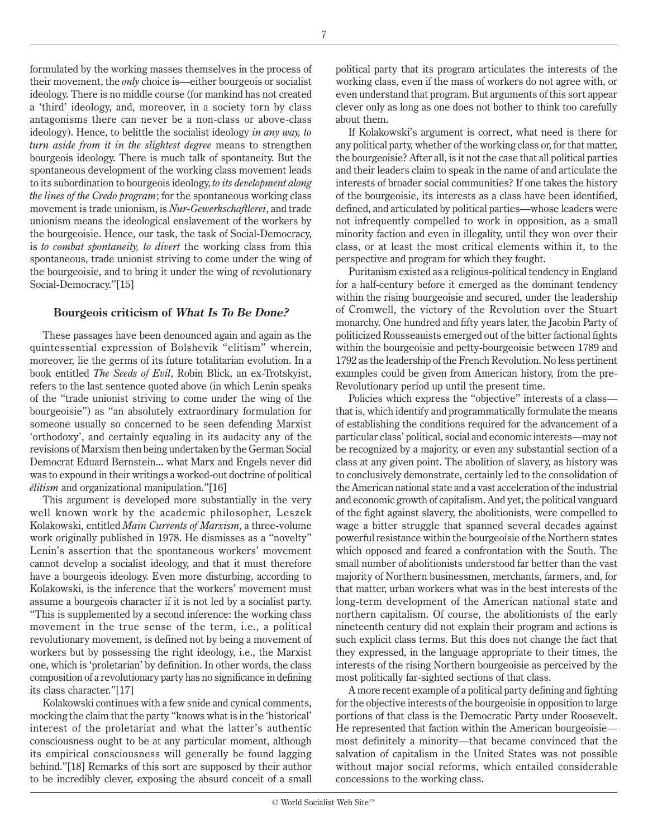formulated by the working masses themselves in the process of their movement, the *only* choice is—either bourgeois or socialist ideology. There is no middle course (for mankind has not created a 'third' ideology, and, moreover, in a society torn by class antagonisms there can never be a non-class or above-class ideology). Hence, to belittle the socialist ideology *in any way, to turn aside from it in the slightest degree* means to strengthen bourgeois ideology. There is much talk of spontaneity. But the spontaneous development of the working class movement leads to its subordination to bourgeois ideology, *to its development along the lines of the Credo program*; for the spontaneous working class movement is trade unionism, is *Nur-Gewerkschaftlerei*, and trade unionism means the ideological enslavement of the workers by the bourgeoisie. Hence, our task, the task of Social-Democracy, is *to combat spontaneity, to divert* the working class from this spontaneous, trade unionist striving to come under the wing of the bourgeoisie, and to bring it under the wing of revolutionary Social-Democracy."[15]

#### **Bourgeois criticism of What Is To Be Done?**

These passages have been denounced again and again as the quintessential expression of Bolshevik "elitism" wherein, moreover, lie the germs of its future totalitarian evolution. In a book entitled *The Seeds of Evil*, Robin Blick, an ex-Trotskyist, refers to the last sentence quoted above (in which Lenin speaks of the "trade unionist striving to come under the wing of the bourgeoisie") as "an absolutely extraordinary formulation for someone usually so concerned to be seen defending Marxist 'orthodoxy', and certainly equaling in its audacity any of the revisions of Marxism then being undertaken by the German Social Democrat Eduard Bernstein... what Marx and Engels never did was to expound in their writings a worked-out doctrine of political *élitism* and organizational manipulation."[16]

This argument is developed more substantially in the very well known work by the academic philosopher, Leszek Kolakowski, entitled *Main Currents of Marxism*, a three-volume work originally published in 1978. He dismisses as a "novelty" Lenin's assertion that the spontaneous workers' movement cannot develop a socialist ideology, and that it must therefore have a bourgeois ideology. Even more disturbing, according to Kolakowski, is the inference that the workers' movement must assume a bourgeois character if it is not led by a socialist party. "This is supplemented by a second inference: the working class movement in the true sense of the term, i.e., a political revolutionary movement, is defined not by being a movement of workers but by possessing the right ideology, i.e., the Marxist one, which is 'proletarian' by definition. In other words, the class composition of a revolutionary party has no significance in defining its class character."[17]

Kolakowski continues with a few snide and cynical comments, mocking the claim that the party "knows what is in the 'historical' interest of the proletariat and what the latter's authentic consciousness ought to be at any particular moment, although its empirical consciousness will generally be found lagging behind."[18] Remarks of this sort are supposed by their author to be incredibly clever, exposing the absurd conceit of a small

political party that its program articulates the interests of the working class, even if the mass of workers do not agree with, or even understand that program. But arguments of this sort appear clever only as long as one does not bother to think too carefully about them.

If Kolakowski's argument is correct, what need is there for any political party, whether of the working class or, for that matter, the bourgeoisie? After all, is it not the case that all political parties and their leaders claim to speak in the name of and articulate the interests of broader social communities? If one takes the history of the bourgeoisie, its interests as a class have been identified, defined, and articulated by political parties—whose leaders were not infrequently compelled to work in opposition, as a small minority faction and even in illegality, until they won over their class, or at least the most critical elements within it, to the perspective and program for which they fought.

Puritanism existed as a religious-political tendency in England for a half-century before it emerged as the dominant tendency within the rising bourgeoisie and secured, under the leadership of Cromwell, the victory of the Revolution over the Stuart monarchy. One hundred and fifty years later, the Jacobin Party of politicized Rousseauists emerged out of the bitter factional fights within the bourgeoisie and petty-bourgeoisie between 1789 and 1792 as the leadership of the French Revolution. No less pertinent examples could be given from American history, from the pre-Revolutionary period up until the present time.

Policies which express the "objective" interests of a class that is, which identify and programmatically formulate the means of establishing the conditions required for the advancement of a particular class' political, social and economic interests—may not be recognized by a majority, or even any substantial section of a class at any given point. The abolition of slavery, as history was to conclusively demonstrate, certainly led to the consolidation of the American national state and a vast acceleration of the industrial and economic growth of capitalism. And yet, the political vanguard of the fight against slavery, the abolitionists, were compelled to wage a bitter struggle that spanned several decades against powerful resistance within the bourgeoisie of the Northern states which opposed and feared a confrontation with the South. The small number of abolitionists understood far better than the vast majority of Northern businessmen, merchants, farmers, and, for that matter, urban workers what was in the best interests of the long-term development of the American national state and northern capitalism. Of course, the abolitionists of the early nineteenth century did not explain their program and actions is such explicit class terms. But this does not change the fact that they expressed, in the language appropriate to their times, the interests of the rising Northern bourgeoisie as perceived by the most politically far-sighted sections of that class.

A more recent example of a political party defining and fighting for the objective interests of the bourgeoisie in opposition to large portions of that class is the Democratic Party under Roosevelt. He represented that faction within the American bourgeoisie most definitely a minority—that became convinced that the salvation of capitalism in the United States was not possible without major social reforms, which entailed considerable concessions to the working class.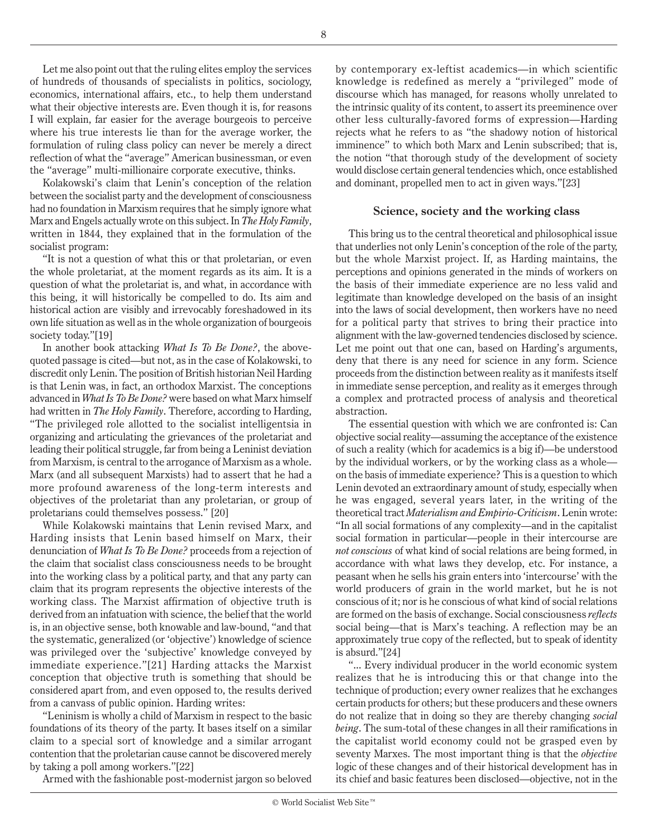Let me also point out that the ruling elites employ the services of hundreds of thousands of specialists in politics, sociology, economics, international affairs, etc., to help them understand what their objective interests are. Even though it is, for reasons I will explain, far easier for the average bourgeois to perceive where his true interests lie than for the average worker, the formulation of ruling class policy can never be merely a direct reflection of what the "average" American businessman, or even the "average" multi-millionaire corporate executive, thinks.

Kolakowski's claim that Lenin's conception of the relation between the socialist party and the development of consciousness had no foundation in Marxism requires that he simply ignore what Marx and Engels actually wrote on this subject. In *The Holy Family*, written in 1844, they explained that in the formulation of the socialist program:

"It is not a question of what this or that proletarian, or even the whole proletariat, at the moment regards as its aim. It is a question of what the proletariat is, and what, in accordance with this being, it will historically be compelled to do. Its aim and historical action are visibly and irrevocably foreshadowed in its own life situation as well as in the whole organization of bourgeois society today."[19]

In another book attacking *What Is To Be Done?*, the abovequoted passage is cited—but not, as in the case of Kolakowski, to discredit only Lenin. The position of British historian Neil Harding is that Lenin was, in fact, an orthodox Marxist. The conceptions advanced in *What Is To Be Done?* were based on what Marx himself had written in *The Holy Family*. Therefore, according to Harding, "The privileged role allotted to the socialist intelligentsia in organizing and articulating the grievances of the proletariat and leading their political struggle, far from being a Leninist deviation from Marxism, is central to the arrogance of Marxism as a whole. Marx (and all subsequent Marxists) had to assert that he had a more profound awareness of the long-term interests and objectives of the proletariat than any proletarian, or group of proletarians could themselves possess." [20]

While Kolakowski maintains that Lenin revised Marx, and Harding insists that Lenin based himself on Marx, their denunciation of *What Is To Be Done?* proceeds from a rejection of the claim that socialist class consciousness needs to be brought into the working class by a political party, and that any party can claim that its program represents the objective interests of the working class. The Marxist affirmation of objective truth is derived from an infatuation with science, the belief that the world is, in an objective sense, both knowable and law-bound, "and that the systematic, generalized (or 'objective') knowledge of science was privileged over the 'subjective' knowledge conveyed by immediate experience."[21] Harding attacks the Marxist conception that objective truth is something that should be considered apart from, and even opposed to, the results derived from a canvass of public opinion. Harding writes:

"Leninism is wholly a child of Marxism in respect to the basic foundations of its theory of the party. It bases itself on a similar claim to a special sort of knowledge and a similar arrogant contention that the proletarian cause cannot be discovered merely by taking a poll among workers."[22]

Armed with the fashionable post-modernist jargon so beloved

by contemporary ex-leftist academics—in which scientific knowledge is redefined as merely a "privileged" mode of discourse which has managed, for reasons wholly unrelated to the intrinsic quality of its content, to assert its preeminence over other less culturally-favored forms of expression—Harding rejects what he refers to as "the shadowy notion of historical imminence" to which both Marx and Lenin subscribed; that is, the notion "that thorough study of the development of society would disclose certain general tendencies which, once established and dominant, propelled men to act in given ways."[23]

#### **Science, society and the working class**

This bring us to the central theoretical and philosophical issue that underlies not only Lenin's conception of the role of the party, but the whole Marxist project. If, as Harding maintains, the perceptions and opinions generated in the minds of workers on the basis of their immediate experience are no less valid and legitimate than knowledge developed on the basis of an insight into the laws of social development, then workers have no need for a political party that strives to bring their practice into alignment with the law-governed tendencies disclosed by science. Let me point out that one can, based on Harding's arguments, deny that there is any need for science in any form. Science proceeds from the distinction between reality as it manifests itself in immediate sense perception, and reality as it emerges through a complex and protracted process of analysis and theoretical abstraction.

The essential question with which we are confronted is: Can objective social reality—assuming the acceptance of the existence of such a reality (which for academics is a big if)—be understood by the individual workers, or by the working class as a whole on the basis of immediate experience? This is a question to which Lenin devoted an extraordinary amount of study, especially when he was engaged, several years later, in the writing of the theoretical tract *Materialism and Empirio-Criticism*. Lenin wrote: "In all social formations of any complexity—and in the capitalist social formation in particular—people in their intercourse are *not conscious* of what kind of social relations are being formed, in accordance with what laws they develop, etc. For instance, a peasant when he sells his grain enters into 'intercourse' with the world producers of grain in the world market, but he is not conscious of it; nor is he conscious of what kind of social relations are formed on the basis of exchange. Social consciousness *reflects* social being—that is Marx's teaching. A reflection may be an approximately true copy of the reflected, but to speak of identity is absurd."[24]

"... Every individual producer in the world economic system realizes that he is introducing this or that change into the technique of production; every owner realizes that he exchanges certain products for others; but these producers and these owners do not realize that in doing so they are thereby changing *social being*. The sum-total of these changes in all their ramifications in the capitalist world economy could not be grasped even by seventy Marxes. The most important thing is that the *objective* logic of these changes and of their historical development has in its chief and basic features been disclosed—objective, not in the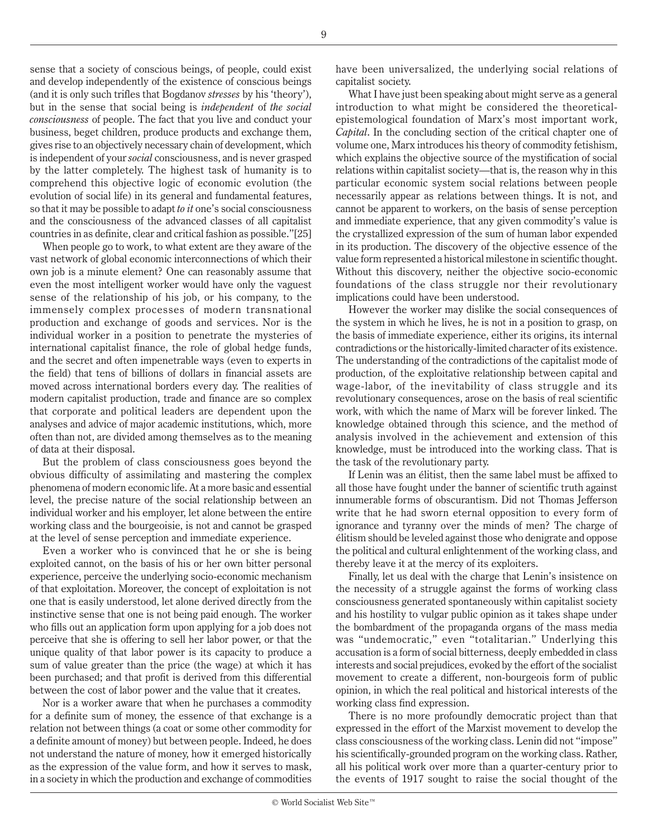sense that a society of conscious beings, of people, could exist and develop independently of the existence of conscious beings (and it is only such trifles that Bogdanov *stresses* by his 'theory'), but in the sense that social being is *independent* of *the social consciousness* of people. The fact that you live and conduct your business, beget children, produce products and exchange them, gives rise to an objectively necessary chain of development, which is independent of your *social* consciousness, and is never grasped by the latter completely. The highest task of humanity is to comprehend this objective logic of economic evolution (the evolution of social life) in its general and fundamental features, so that it may be possible to adapt *to it* one's social consciousness and the consciousness of the advanced classes of all capitalist countries in as definite, clear and critical fashion as possible."[25]

When people go to work, to what extent are they aware of the vast network of global economic interconnections of which their own job is a minute element? One can reasonably assume that even the most intelligent worker would have only the vaguest sense of the relationship of his job, or his company, to the immensely complex processes of modern transnational production and exchange of goods and services. Nor is the individual worker in a position to penetrate the mysteries of international capitalist finance, the role of global hedge funds, and the secret and often impenetrable ways (even to experts in the field) that tens of billions of dollars in financial assets are moved across international borders every day. The realities of modern capitalist production, trade and finance are so complex that corporate and political leaders are dependent upon the analyses and advice of major academic institutions, which, more often than not, are divided among themselves as to the meaning of data at their disposal.

But the problem of class consciousness goes beyond the obvious difficulty of assimilating and mastering the complex phenomena of modern economic life. At a more basic and essential level, the precise nature of the social relationship between an individual worker and his employer, let alone between the entire working class and the bourgeoisie, is not and cannot be grasped at the level of sense perception and immediate experience.

Even a worker who is convinced that he or she is being exploited cannot, on the basis of his or her own bitter personal experience, perceive the underlying socio-economic mechanism of that exploitation. Moreover, the concept of exploitation is not one that is easily understood, let alone derived directly from the instinctive sense that one is not being paid enough. The worker who fills out an application form upon applying for a job does not perceive that she is offering to sell her labor power, or that the unique quality of that labor power is its capacity to produce a sum of value greater than the price (the wage) at which it has been purchased; and that profit is derived from this differential between the cost of labor power and the value that it creates.

Nor is a worker aware that when he purchases a commodity for a definite sum of money, the essence of that exchange is a relation not between things (a coat or some other commodity for a definite amount of money) but between people. Indeed, he does not understand the nature of money, how it emerged historically as the expression of the value form, and how it serves to mask, in a society in which the production and exchange of commodities

have been universalized, the underlying social relations of capitalist society.

What I have just been speaking about might serve as a general introduction to what might be considered the theoreticalepistemological foundation of Marx's most important work, *Capital*. In the concluding section of the critical chapter one of volume one, Marx introduces his theory of commodity fetishism, which explains the objective source of the mystification of social relations within capitalist society—that is, the reason why in this particular economic system social relations between people necessarily appear as relations between things. It is not, and cannot be apparent to workers, on the basis of sense perception and immediate experience, that any given commodity's value is the crystallized expression of the sum of human labor expended in its production. The discovery of the objective essence of the value form represented a historical milestone in scientific thought. Without this discovery, neither the objective socio-economic foundations of the class struggle nor their revolutionary implications could have been understood.

However the worker may dislike the social consequences of the system in which he lives, he is not in a position to grasp, on the basis of immediate experience, either its origins, its internal contradictions or the historically-limited character of its existence. The understanding of the contradictions of the capitalist mode of production, of the exploitative relationship between capital and wage-labor, of the inevitability of class struggle and its revolutionary consequences, arose on the basis of real scientific work, with which the name of Marx will be forever linked. The knowledge obtained through this science, and the method of analysis involved in the achievement and extension of this knowledge, must be introduced into the working class. That is the task of the revolutionary party.

If Lenin was an élitist, then the same label must be affixed to all those have fought under the banner of scientific truth against innumerable forms of obscurantism. Did not Thomas Jefferson write that he had sworn eternal opposition to every form of ignorance and tyranny over the minds of men? The charge of élitism should be leveled against those who denigrate and oppose the political and cultural enlightenment of the working class, and thereby leave it at the mercy of its exploiters.

Finally, let us deal with the charge that Lenin's insistence on the necessity of a struggle against the forms of working class consciousness generated spontaneously within capitalist society and his hostility to vulgar public opinion as it takes shape under the bombardment of the propaganda organs of the mass media was "undemocratic," even "totalitarian." Underlying this accusation is a form of social bitterness, deeply embedded in class interests and social prejudices, evoked by the effort of the socialist movement to create a different, non-bourgeois form of public opinion, in which the real political and historical interests of the working class find expression.

There is no more profoundly democratic project than that expressed in the effort of the Marxist movement to develop the class consciousness of the working class. Lenin did not "impose" his scientifically-grounded program on the working class. Rather, all his political work over more than a quarter-century prior to the events of 1917 sought to raise the social thought of the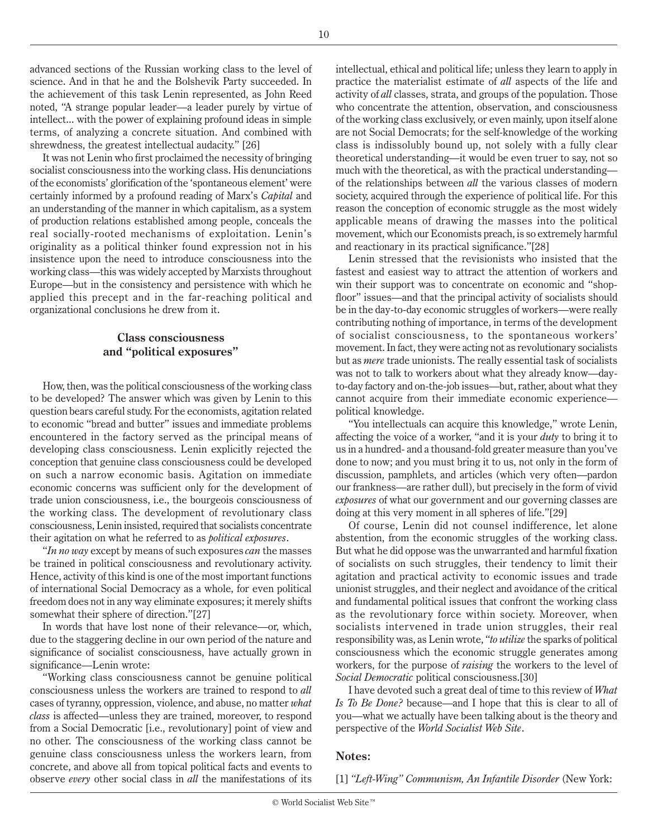advanced sections of the Russian working class to the level of science. And in that he and the Bolshevik Party succeeded. In the achievement of this task Lenin represented, as John Reed noted, "A strange popular leader—a leader purely by virtue of intellect... with the power of explaining profound ideas in simple terms, of analyzing a concrete situation. And combined with shrewdness, the greatest intellectual audacity." [26]

It was not Lenin who first proclaimed the necessity of bringing socialist consciousness into the working class. His denunciations of the economists' glorification of the 'spontaneous element' were certainly informed by a profound reading of Marx's *Capital* and an understanding of the manner in which capitalism, as a system of production relations established among people, conceals the real socially-rooted mechanisms of exploitation. Lenin's originality as a political thinker found expression not in his insistence upon the need to introduce consciousness into the working class—this was widely accepted by Marxists throughout Europe—but in the consistency and persistence with which he applied this precept and in the far-reaching political and organizational conclusions he drew from it.

# **Class consciousness and "political exposures"**

How, then, was the political consciousness of the working class to be developed? The answer which was given by Lenin to this question bears careful study. For the economists, agitation related to economic "bread and butter" issues and immediate problems encountered in the factory served as the principal means of developing class consciousness. Lenin explicitly rejected the conception that genuine class consciousness could be developed on such a narrow economic basis. Agitation on immediate economic concerns was sufficient only for the development of trade union consciousness, i.e., the bourgeois consciousness of the working class. The development of revolutionary class consciousness, Lenin insisted, required that socialists concentrate their agitation on what he referred to as *political exposures*.

"*In no way* except by means of such exposures *can* the masses be trained in political consciousness and revolutionary activity. Hence, activity of this kind is one of the most important functions of international Social Democracy as a whole, for even political freedom does not in any way eliminate exposures; it merely shifts somewhat their sphere of direction."[27]

In words that have lost none of their relevance—or, which, due to the staggering decline in our own period of the nature and significance of socialist consciousness, have actually grown in significance—Lenin wrote:

"Working class consciousness cannot be genuine political consciousness unless the workers are trained to respond to *all* cases of tyranny, oppression, violence, and abuse, no matter *what class* is affected—unless they are trained, moreover, to respond from a Social Democratic [i.e., revolutionary] point of view and no other. The consciousness of the working class cannot be genuine class consciousness unless the workers learn, from concrete, and above all from topical political facts and events to observe *every* other social class in *all* the manifestations of its

intellectual, ethical and political life; unless they learn to apply in practice the materialist estimate of *all* aspects of the life and activity of *all* classes, strata, and groups of the population. Those who concentrate the attention, observation, and consciousness of the working class exclusively, or even mainly, upon itself alone are not Social Democrats; for the self-knowledge of the working class is indissolubly bound up, not solely with a fully clear theoretical understanding—it would be even truer to say, not so much with the theoretical, as with the practical understanding of the relationships between *all* the various classes of modern society, acquired through the experience of political life. For this reason the conception of economic struggle as the most widely applicable means of drawing the masses into the political movement, which our Economists preach, is so extremely harmful and reactionary in its practical significance."[28]

Lenin stressed that the revisionists who insisted that the fastest and easiest way to attract the attention of workers and win their support was to concentrate on economic and "shopfloor" issues—and that the principal activity of socialists should be in the day-to-day economic struggles of workers—were really contributing nothing of importance, in terms of the development of socialist consciousness, to the spontaneous workers' movement. In fact, they were acting not as revolutionary socialists but as *mere* trade unionists. The really essential task of socialists was not to talk to workers about what they already know—dayto-day factory and on-the-job issues—but, rather, about what they cannot acquire from their immediate economic experience political knowledge.

"You intellectuals can acquire this knowledge," wrote Lenin, affecting the voice of a worker, "and it is your *duty* to bring it to us in a hundred- and a thousand-fold greater measure than you've done to now; and you must bring it to us, not only in the form of discussion, pamphlets, and articles (which very often—pardon our frankness—are rather dull), but precisely in the form of vivid *exposures* of what our government and our governing classes are doing at this very moment in all spheres of life."[29]

Of course, Lenin did not counsel indifference, let alone abstention, from the economic struggles of the working class. But what he did oppose was the unwarranted and harmful fixation of socialists on such struggles, their tendency to limit their agitation and practical activity to economic issues and trade unionist struggles, and their neglect and avoidance of the critical and fundamental political issues that confront the working class as the revolutionary force within society. Moreover, when socialists intervened in trade union struggles, their real responsibility was, as Lenin wrote, "*to utilize* the sparks of political consciousness which the economic struggle generates among workers, for the purpose of *raising* the workers to the level of *Social Democratic* political consciousness.[30]

I have devoted such a great deal of time to this review of *What Is To Be Done?* because—and I hope that this is clear to all of you—what we actually have been talking about is the theory and perspective of the *World Socialist Web Site*.

### **Notes:**

[1] *"Left-Wing" Communism, An Infantile Disorder* (New York: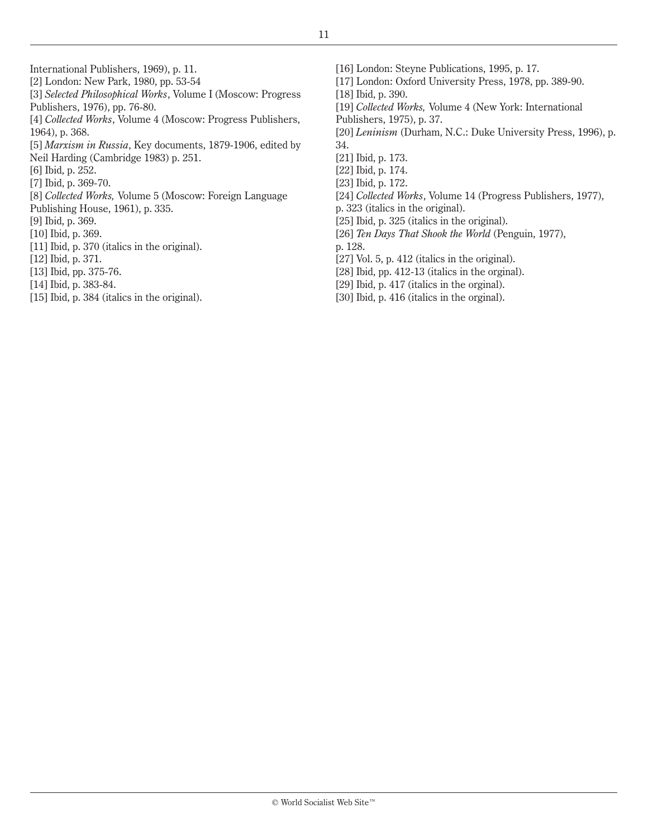- International Publishers, 1969), p. 11. [2] London: New Park, 1980, pp. 53-54 [3] *Selected Philosophical Works*, Volume I (Moscow: Progress Publishers, 1976), pp. 76-80. [4] *Collected Works*, Volume 4 (Moscow: Progress Publishers, 1964), p. 368. [5] *Marxism in Russia*, Key documents, 1879-1906, edited by Neil Harding (Cambridge 1983) p. 251. [6] Ibid, p. 252. [7] Ibid, p. 369-70. [8] *Collected Works,* Volume 5 (Moscow: Foreign Language Publishing House, 1961), p. 335. [9] Ibid, p. 369. [10] Ibid, p. 369. [11] Ibid, p. 370 (italics in the original). [12] Ibid, p. 371. [13] Ibid, pp. 375-76. [14] Ibid, p. 383-84.
- 
- [15] Ibid, p. 384 (italics in the original).
- [16] London: Steyne Publications, 1995, p. 17. [17] London: Oxford University Press, 1978, pp. 389-90. [18] Ibid, p. 390. [19] *Collected Works,* Volume 4 (New York: International Publishers, 1975), p. 37. [20] *Leninism* (Durham, N.C.: Duke University Press, 1996), p. 34. [21] Ibid, p. 173. [22] Ibid, p. 174. [23] Ibid, p. 172. [24] *Collected Works*, Volume 14 (Progress Publishers, 1977), p. 323 (italics in the original). [25] Ibid, p. 325 (italics in the original). [26] *Ten Days That Shook the World* (Penguin, 1977), p. 128. [27] Vol. 5, p. 412 (italics in the original). [28] Ibid, pp. 412-13 (italics in the orginal). [29] Ibid, p. 417 (italics in the orginal).
- [30] Ibid, p. 416 (italics in the orginal).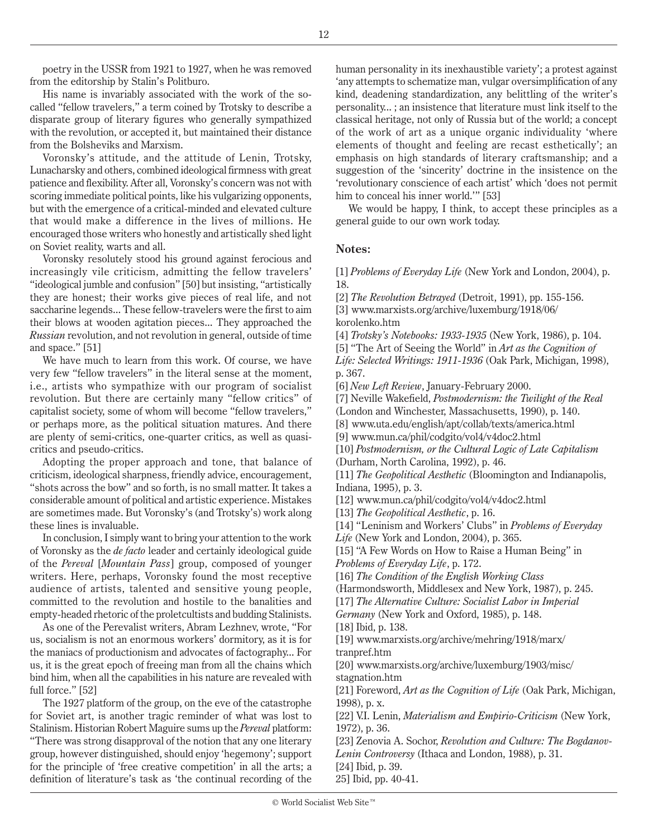poetry in the USSR from 1921 to 1927, when he was removed from the editorship by Stalin's Politburo.

His name is invariably associated with the work of the socalled "fellow travelers," a term coined by Trotsky to describe a disparate group of literary figures who generally sympathized with the revolution, or accepted it, but maintained their distance from the Bolsheviks and Marxism.

Voronsky's attitude, and the attitude of Lenin, Trotsky, Lunacharsky and others, combined ideological firmness with great patience and flexibility. After all, Voronsky's concern was not with scoring immediate political points, like his vulgarizing opponents, but with the emergence of a critical-minded and elevated culture that would make a difference in the lives of millions. He encouraged those writers who honestly and artistically shed light on Soviet reality, warts and all.

Voronsky resolutely stood his ground against ferocious and increasingly vile criticism, admitting the fellow travelers' "ideological jumble and confusion" [50] but insisting, "artistically they are honest; their works give pieces of real life, and not saccharine legends... These fellow-travelers were the first to aim their blows at wooden agitation pieces... They approached the *Russian* revolution, and not revolution in general, outside of time and space." [51]

We have much to learn from this work. Of course, we have very few "fellow travelers" in the literal sense at the moment, i.e., artists who sympathize with our program of socialist revolution. But there are certainly many "fellow critics" of capitalist society, some of whom will become "fellow travelers," or perhaps more, as the political situation matures. And there are plenty of semi-critics, one-quarter critics, as well as quasicritics and pseudo-critics.

Adopting the proper approach and tone, that balance of criticism, ideological sharpness, friendly advice, encouragement, "shots across the bow" and so forth, is no small matter. It takes a considerable amount of political and artistic experience. Mistakes are sometimes made. But Voronsky's (and Trotsky's) work along these lines is invaluable.

In conclusion, I simply want to bring your attention to the work of Voronsky as the *de facto* leader and certainly ideological guide of the *Pereval* [*Mountain Pass*] group, composed of younger writers. Here, perhaps, Voronsky found the most receptive audience of artists, talented and sensitive young people, committed to the revolution and hostile to the banalities and empty-headed rhetoric of the proletcultists and budding Stalinists.

As one of the Perevalist writers, Abram Lezhnev, wrote, "For us, socialism is not an enormous workers' dormitory, as it is for the maniacs of productionism and advocates of factography... For us, it is the great epoch of freeing man from all the chains which bind him, when all the capabilities in his nature are revealed with full force." [52]

The 1927 platform of the group, on the eve of the catastrophe for Soviet art, is another tragic reminder of what was lost to Stalinism. Historian Robert Maguire sums up the *Pereval* platform: "There was strong disapproval of the notion that any one literary group, however distinguished, should enjoy 'hegemony'; support for the principle of 'free creative competition' in all the arts; a definition of literature's task as 'the continual recording of the

human personality in its inexhaustible variety'; a protest against 'any attempts to schematize man, vulgar oversimplification of any kind, deadening standardization, any belittling of the writer's personality... ; an insistence that literature must link itself to the classical heritage, not only of Russia but of the world; a concept of the work of art as a unique organic individuality 'where elements of thought and feeling are recast esthetically'; an emphasis on high standards of literary craftsmanship; and a suggestion of the 'sincerity' doctrine in the insistence on the 'revolutionary conscience of each artist' which 'does not permit him to conceal his inner world.'" [53]

We would be happy, I think, to accept these principles as a general guide to our own work today.

# **Notes:**

[1] *Problems of Everyday Life* (New York and London, 2004), p. 18.

[2] *The Revolution Betrayed* (Detroit, 1991), pp. 155-156.

[3] www.marxists.org/archive/luxemburg/1918/06/ korolenko.htm

[4] *Trotsky's Notebooks: 1933-1935* (New York, 1986), p. 104. [5] "The Art of Seeing the World" in *Art as the Cognition of Life: Selected Writings: 1911-1936* (Oak Park, Michigan, 1998), p. 367.

[6] *New Left Review*, January-February 2000.

[7] Neville Wakefield, *Postmodernism: the Twilight of the Real*

(London and Winchester, Massachusetts, 1990), p. 140.

[8] www.uta.edu/english/apt/collab/texts/america.html

[9] www.mun.ca/phil/codgito/vol4/v4doc2.html

[10] *Postmodernism, or the Cultural Logic of Late Capitalism* (Durham, North Carolina, 1992), p. 46.

[11] *The Geopolitical Aesthetic* (Bloomington and Indianapolis, Indiana, 1995), p. 3.

[12] www.mun.ca/phil/codgito/vol4/v4doc2.html

[13] *The Geopolitical Aesthetic*, p. 16.

[14] "Leninism and Workers' Clubs" in *Problems of Everyday*

*Life* (New York and London, 2004), p. 365.

[15] "A Few Words on How to Raise a Human Being" in *Problems of Everyday Life*, p. 172.

[16] *The Condition of the English Working Class*

(Harmondsworth, Middlesex and New York, 1987), p. 245.

[17] *The Alternative Culture: Socialist Labor in Imperial*

*Germany* (New York and Oxford, 1985), p. 148.

[18] Ibid, p. 138.

[19] www.marxists.org/archive/mehring/1918/marx/ tranpref.htm

[20] www.marxists.org/archive/luxemburg/1903/misc/ stagnation.htm

[21] Foreword, *Art as the Cognition of Life* (Oak Park, Michigan, 1998), p. x.

[22] V.I. Lenin, *Materialism and Empirio-Criticism* (New York, 1972), p. 36.

[23] Zenovia A. Sochor, *Revolution and Culture: The Bogdanov-Lenin Controversy* (Ithaca and London, 1988), p. 31. [24] Ibid, p. 39. 25] Ibid, pp. 40-41.